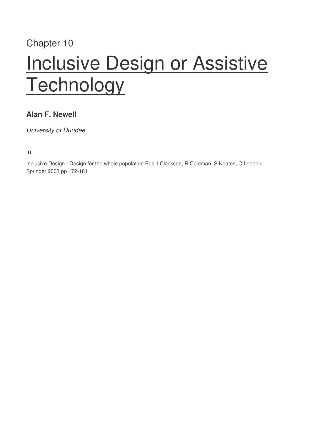# Chapter 10 Inclusive Design or Assistive **Technology**

## **Alan F. Newell**

*University of Dundee*

In:

Inclusive Design - Design for the whole population Eds J.Clackson, R.Coleman, S.Keates, C.Lebbon Springer 2003 pp 172-181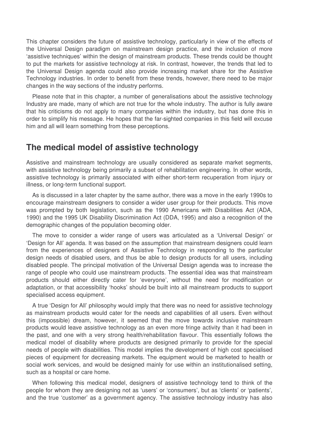This chapter considers the future of assistive technology, particularly in view of the effects of the Universal Design paradigm on mainstream design practice, and the inclusion of more 'assistive techniques' within the design of mainstream products. These trends could be thought to put the markets for assistive technology at risk. In contrast, however, the trends that led to the Universal Design agenda could also provide increasing market share for the Assistive Technology industries. In order to benefit from these trends, however, there need to be major changes in the way sections of the industry performs.

Please note that in this chapter, a number of generalisations about the assistive technology Industry are made, many of which are not true for the whole industry. The author is fully aware that his criticisms do not apply to many companies within the industry, but has done this in order to simplify his message. He hopes that the far-sighted companies in this field will excuse him and all will learn something from these perceptions.

### **The medical model of assistive technology**

Assistive and mainstream technology are usually considered as separate market segments, with assistive technology being primarily a subset of rehabilitation engineering. In other words, assistive technology is primarily associated with either short-term recuperation from injury or illness, or long-term functional support.

As is discussed in a later chapter by the same author, there was a move in the early 1990s to encourage mainstream designers to consider a wider user group for their products. This move was prompted by both legislation, such as the 1990 Americans with Disabilities Act (ADA, 1990) and the 1995 UK Disability Discrimination Act (DDA, 1995) and also a recognition of the demographic changes of the population becoming older.

The move to consider a wider range of users was articulated as a 'Universal Design' or 'Design for All' agenda. It was based on the assumption that mainstream designers could learn from the experiences of designers of Assistive Technology in responding to the particular design needs of disabled users, and thus be able to design products for all users, including disabled people. The principal motivation of the Universal Design agenda was to increase the range of people who could use mainstream products. The essential idea was that mainstream products should either directly cater for 'everyone', without the need for modification or adaptation, or that accessibility 'hooks' should be built into all mainstream products to support specialised access equipment.

A true 'Design for All' philosophy would imply that there was no need for assistive technology as mainstream products would cater for the needs and capabilities of all users. Even without this (impossible) dream, however, it seemed that the move towards inclusive mainstream products would leave assistive technology as an even more fringe activity than it had been in the past, and one with a very strong health/rehabilitation flavour. This essentially follows the medical model of disability where products are designed primarily to provide for the special needs of people with disabilities. This model implies the development of high cost specialised pieces of equipment for decreasing markets. The equipment would be marketed to health or social work services, and would be designed mainly for use within an institutionalised setting, such as a hospital or care home.

When following this medical model, designers of assistive technology tend to think of the people for whom they are designing not as 'users' or 'consumers', but as 'clients' or 'patients', and the true 'customer' as a government agency. The assistive technology industry has also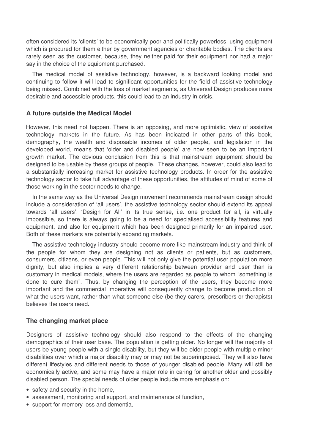often considered its 'clients' to be economically poor and politically powerless, using equipment which is procured for them either by government agencies or charitable bodies. The clients are rarely seen as the customer, because, they neither paid for their equipment nor had a major say in the choice of the equipment purchased.

The medical model of assistive technology, however, is a backward looking model and continuing to follow it will lead to significant opportunities for the field of assistive technology being missed. Combined with the loss of market segments, as Universal Design produces more desirable and accessible products, this could lead to an industry in crisis.

#### **A future outside the Medical Model**

However, this need not happen. There is an opposing, and more optimistic, view of assistive technology markets in the future. As has been indicated in other parts of this book, demography, the wealth and disposable incomes of older people, and legislation in the developed world, means that 'older and disabled people' are now seen to be an important growth market. The obvious conclusion from this is that mainstream equipment should be designed to be usable by these groups of people. These changes, however, could also lead to a substantially increasing market for assistive technology products. In order for the assistive technology sector to take full advantage of these opportunities, the attitudes of mind of some of those working in the sector needs to change.

In the same way as the Universal Design movement recommends mainstream design should include a consideration of 'all users', the assistive technology sector should extend its appeal towards 'all users'. 'Design for All' in its true sense, i.e. one product for all, is virtually impossible, so there is always going to be a need for specialised accessibility features and equipment, and also for equipment which has been designed primarily for an impaired user. Both of these markets are potentially expanding markets.

The assistive technology industry should become more like mainstream industry and think of the people for whom they are designing not as clients or patients, but as customers, consumers, citizens, or even people. This will not only give the potential user population more dignity, but also implies a very different relationship between provider and user than is customary in medical models, where the users are regarded as people to whom "something is done to cure them". Thus, by changing the perception of the users, they become more important and the commercial imperative will consequently change to become production of what the users want, rather than what someone else (be they carers, prescribers or therapists) believes the users need.

#### **The changing market place**

Designers of assistive technology should also respond to the effects of the changing demographics of their user base. The population is getting older. No longer will the majority of users be young people with a single disability, but they will be older people with multiple minor disabilities over which a major disability may or may not be superimposed. They will also have different lifestyles and different needs to those of younger disabled people. Many will still be economically active, and some may have a major role in caring for another older and possibly disabled person. The special needs of older people include more emphasis on:

- safety and security in the home,
- assessment, monitoring and support, and maintenance of function,
- support for memory loss and dementia,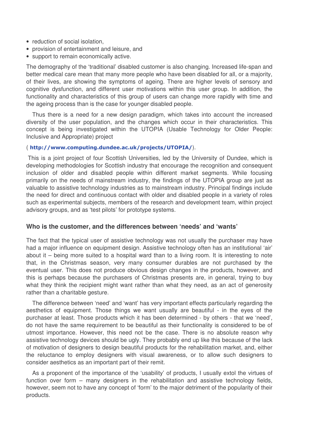- reduction of social isolation,
- provision of entertainment and leisure, and
- support to remain economically active.

The demography of the 'traditional' disabled customer is also changing. Increased life-span and better medical care mean that many more people who have been disabled for all, or a majority, of their lives, are showing the symptoms of ageing. There are higher levels of sensory and cognitive dysfunction, and different user motivations within this user group. In addition, the functionality and characteristics of this group of users can change more rapidly with time and the ageing process than is the case for younger disabled people.

Thus there is a need for a new design paradigm, which takes into account the increased diversity of the user population, and the changes which occur in their characteristics. This concept is being investigated within the UTOPIA (Usable Technology for Older People: Inclusive and Appropriate) project

#### ( http://www.computing.dundee.ac.uk/projects/UTOPIA/).

This is a joint project of four Scottish Universities, led by the University of Dundee, which is developing methodologies for Scottish industry that encourage the recognition and consequent inclusion of older and disabled people within different market segments. While focusing primarily on the needs of mainstream industry, the findings of the UTOPIA group are just as valuable to assistive technology industries as to mainstream industry. Principal findings include the need for direct and continuous contact with older and disabled people in a variety of roles such as experimental subjects, members of the research and development team, within project advisory groups, and as 'test pilots' for prototype systems.

#### **Who is the customer, and the differences between 'needs' and 'wants'**

The fact that the typical user of assistive technology was not usually the purchaser may have had a major influence on equipment design. Assistive technology often has an institutional 'air' about it – being more suited to a hospital ward than to a living room. It is interesting to note that, in the Christmas season, very many consumer durables are not purchased by the eventual user. This does not produce obvious design changes in the products, however, and this is perhaps because the purchasers of Christmas presents are, in general, trying to buy what they think the recipient might want rather than what they need, as an act of generosity rather than a charitable gesture.

The difference between 'need' and 'want' has very important effects particularly regarding the aesthetics of equipment. Those things we want usually are beautiful - in the eyes of the purchaser at least. Those products which it has been determined - by others - that we 'need', do not have the same requirement to be beautiful as their functionality is considered to be of utmost importance. However, this need not be the case. There is no absolute reason why assistive technology devices should be ugly. They probably end up like this because of the lack of motivation of designers to design beautiful products for the rehabilitation market, and, either the reluctance to employ designers with visual awareness, or to allow such designers to consider aesthetics as an important part of their remit.

As a proponent of the importance of the 'usability' of products, I usually extol the virtues of function over form – many designers in the rehabilitation and assistive technology fields, however, seem not to have any concept of 'form' to the major detriment of the popularity of their products.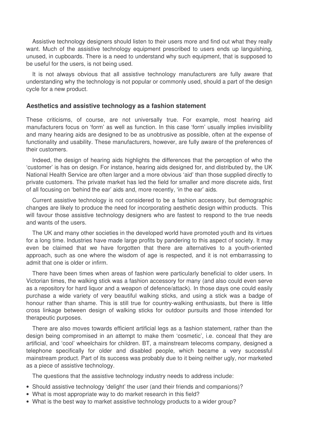Assistive technology designers should listen to their users more and find out what they really want. Much of the assistive technology equipment prescribed to users ends up languishing, unused, in cupboards. There is a need to understand why such equipment, that is supposed to be useful for the users, is not being used.

It is not always obvious that all assistive technology manufacturers are fully aware that understanding why the technology is not popular or commonly used, should a part of the design cycle for a new product.

#### **Aesthetics and assistive technology as a fashion statement**

These criticisms, of course, are not universally true. For example, most hearing aid manufacturers focus on 'form' as well as function. In this case 'form' usually implies invisibility and many hearing aids are designed to be as unobtrusive as possible, often at the expense of functionality and usability. These manufacturers, however, are fully aware of the preferences of their customers.

Indeed, the design of hearing aids highlights the differences that the perception of who the 'customer' is has on design. For instance, hearing aids designed for, and distributed by, the UK National Health Service are often larger and a more obvious 'aid' than those supplied directly to private customers. The private market has led the field for smaller and more discrete aids, first of all focusing on 'behind the ear' aids and, more recently, 'in the ear' aids.

Current assistive technology is not considered to be a fashion accessory, but demographic changes are likely to produce the need for incorporating aesthetic design within products. This will favour those assistive technology designers who are fastest to respond to the true needs and wants of the users.

The UK and many other societies in the developed world have promoted youth and its virtues for a long time. Industries have made large profits by pandering to this aspect of society. It may even be claimed that we have forgotten that there are alternatives to a youth-oriented approach, such as one where the wisdom of age is respected, and it is not embarrassing to admit that one is older or infirm.

There have been times when areas of fashion were particularly beneficial to older users. In Victorian times, the walking stick was a fashion accessory for many (and also could even serve as a repository for hard liquor and a weapon of defence/attack). In those days one could easily purchase a wide variety of very beautiful walking sticks, and using a stick was a badge of honour rather than shame. This is still true for country-walking enthusiasts, but there is little cross linkage between design of walking sticks for outdoor pursuits and those intended for therapeutic purposes.

There are also moves towards efficient artificial legs as a fashion statement, rather than the design being compromised in an attempt to make them 'cosmetic', i.e. conceal that they are artificial, and 'cool' wheelchairs for children. BT, a mainstream telecoms company, designed a telephone specifically for older and disabled people, which became a very successful mainstream product. Part of its success was probably due to it being neither ugly, nor marketed as a piece of assistive technology.

The questions that the assistive technology industry needs to address include:

- Should assistive technology 'delight' the user (and their friends and companions)?
- What is most appropriate way to do market research in this field?
- What is the best way to market assistive technology products to a wider group?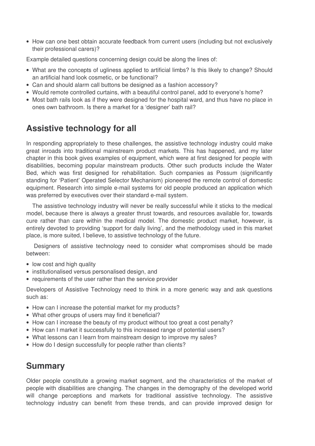• How can one best obtain accurate feedback from current users (including but not exclusively their professional carers)?

Example detailed questions concerning design could be along the lines of:

- What are the concepts of ugliness applied to artificial limbs? Is this likely to change? Should an artificial hand look cosmetic, or be functional?
- Can and should alarm call buttons be designed as a fashion accessory?
- Would remote controlled curtains, with a beautiful control panel, add to everyone's home?
- Most bath rails look as if they were designed for the hospital ward, and thus have no place in ones own bathroom. Is there a market for a 'designer' bath rail?

# **Assistive technology for all**

In responding appropriately to these challenges, the assistive technology industry could make great inroads into traditional mainstream product markets. This has happened, and my later chapter in this book gives examples of equipment, which were at first designed for people with disabilities, becoming popular mainstream products. Other such products include the Water Bed, which was first designed for rehabilitation. Such companies as Possum (significantly standing for 'Patient' Operated Selector Mechanism) pioneered the remote control of domestic equipment. Research into simple e-mail systems for old people produced an application which was preferred by executives over their standard e-mail system.

The assistive technology industry will never be really successful while it sticks to the medical model, because there is always a greater thrust towards, and resources available for, towards cure rather than care within the medical model. The domestic product market, however, is entirely devoted to providing 'support for daily living', and the methodology used in this market place, is more suited, I believe, to assistive technology of the future.

Designers of assistive technology need to consider what compromises should be made between:

- low cost and high quality
- institutionalised versus personalised design, and
- requirements of the user rather than the service provider

Developers of Assistive Technology need to think in a more generic way and ask questions such as:

- How can I increase the potential market for my products?
- What other groups of users may find it beneficial?
- How can I increase the beauty of my product without too great a cost penalty?
- How can I market it successfully to this increased range of potential users?
- What lessons can I learn from mainstream design to improve my sales?
- How do I design successfully for people rather than clients?

## **Summary**

Older people constitute a growing market segment, and the characteristics of the market of people with disabilities are changing. The changes in the demography of the developed world will change perceptions and markets for traditional assistive technology. The assistive technology industry can benefit from these trends, and can provide improved design for